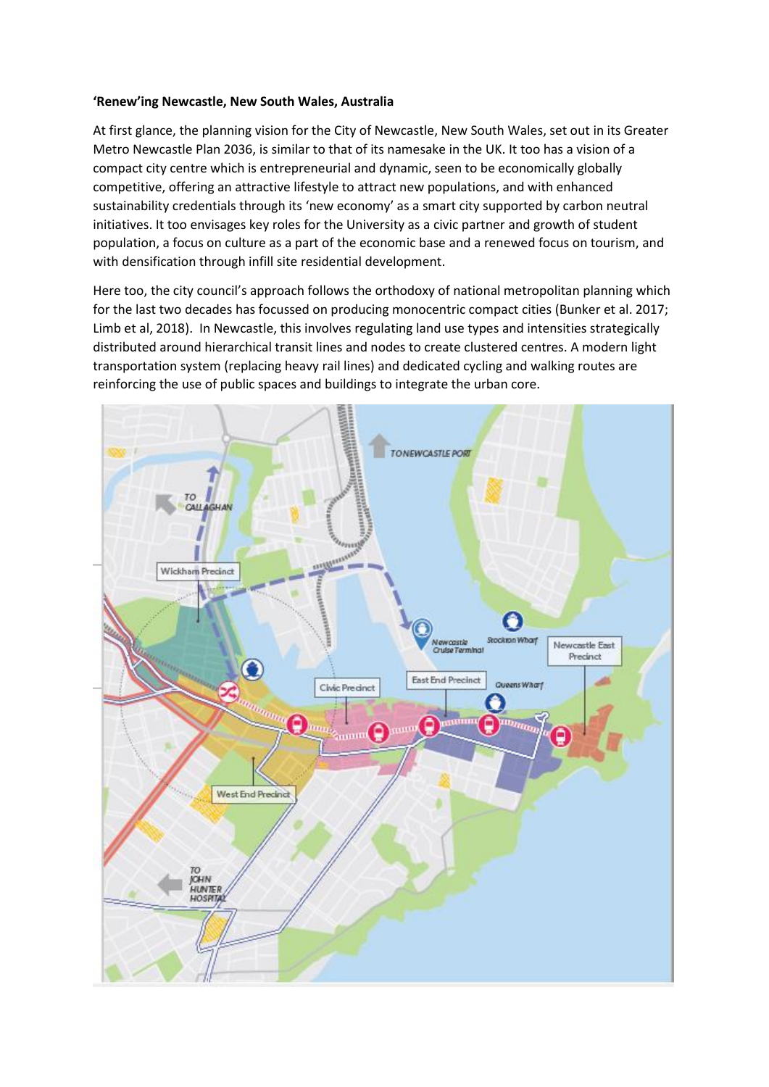## **'Renew'ing Newcastle, New South Wales, Australia**

At first glance, the planning vision for the City of Newcastle, New South Wales, set out in its Greater Metro Newcastle Plan 2036, is similar to that of its namesake in the UK. It too has a vision of a compact city centre which is entrepreneurial and dynamic, seen to be economically globally competitive, offering an attractive lifestyle to attract new populations, and with enhanced sustainability credentials through its 'new economy' as a smart city supported by carbon neutral initiatives. It too envisages key roles for the University as a civic partner and growth of student population, a focus on culture as a part of the economic base and a renewed focus on tourism, and with densification through infill site residential development.

Here too, the city council's approach follows the orthodoxy of national metropolitan planning which for the last two decades has focussed on producing monocentric compact cities (Bunker et al. 2017; Limb et al, 2018). In Newcastle, this involves regulating land use types and intensities strategically distributed around hierarchical transit lines and nodes to create clustered centres. A modern light transportation system (replacing heavy rail lines) and dedicated cycling and walking routes are reinforcing the use of public spaces and buildings to integrate the urban core.

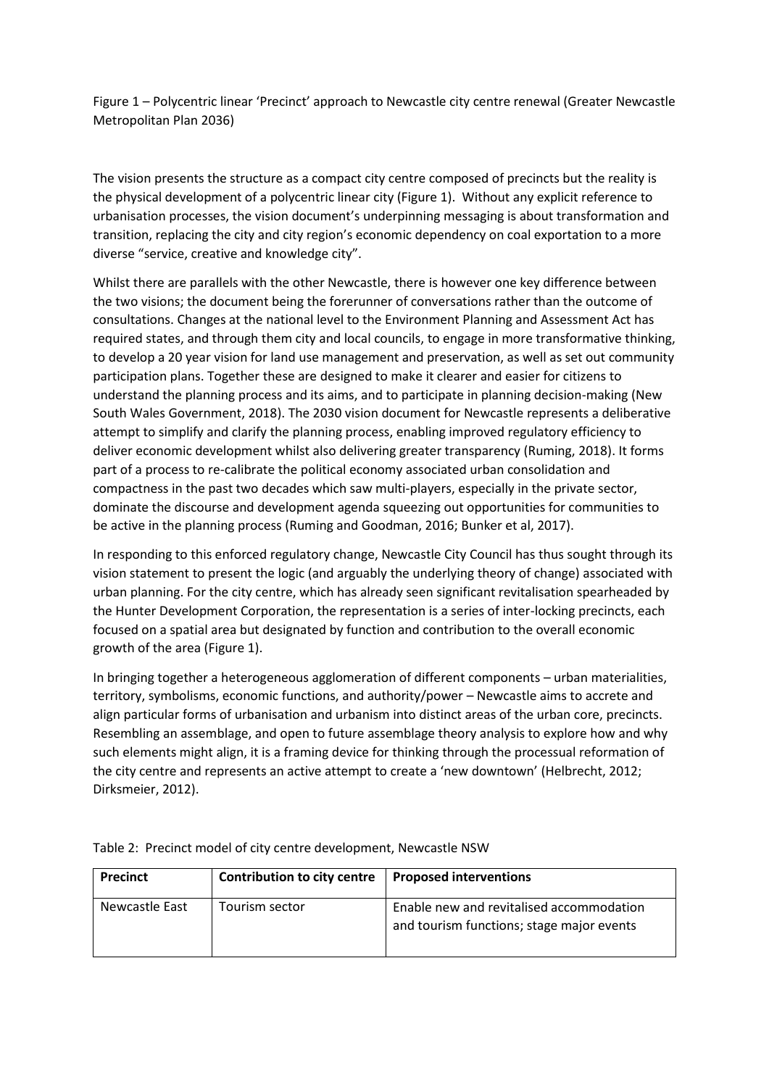Figure 1 – Polycentric linear 'Precinct' approach to Newcastle city centre renewal (Greater Newcastle Metropolitan Plan 2036)

The vision presents the structure as a compact city centre composed of precincts but the reality is the physical development of a polycentric linear city (Figure 1). Without any explicit reference to urbanisation processes, the vision document's underpinning messaging is about transformation and transition, replacing the city and city region's economic dependency on coal exportation to a more diverse "service, creative and knowledge city".

Whilst there are parallels with the other Newcastle, there is however one key difference between the two visions; the document being the forerunner of conversations rather than the outcome of consultations. Changes at the national level to the Environment Planning and Assessment Act has required states, and through them city and local councils, to engage in more transformative thinking, to develop a 20 year vision for land use management and preservation, as well as set out community participation plans. Together these are designed to make it clearer and easier for citizens to understand the planning process and its aims, and to participate in planning decision-making (New South Wales Government, 2018). The 2030 vision document for Newcastle represents a deliberative attempt to simplify and clarify the planning process, enabling improved regulatory efficiency to deliver economic development whilst also delivering greater transparency (Ruming, 2018). It forms part of a process to re-calibrate the political economy associated urban consolidation and compactness in the past two decades which saw multi-players, especially in the private sector, dominate the discourse and development agenda squeezing out opportunities for communities to be active in the planning process (Ruming and Goodman, 2016; Bunker et al, 2017).

In responding to this enforced regulatory change, Newcastle City Council has thus sought through its vision statement to present the logic (and arguably the underlying theory of change) associated with urban planning. For the city centre, which has already seen significant revitalisation spearheaded by the Hunter Development Corporation, the representation is a series of inter-locking precincts, each focused on a spatial area but designated by function and contribution to the overall economic growth of the area (Figure 1).

In bringing together a heterogeneous agglomeration of different components – urban materialities, territory, symbolisms, economic functions, and authority/power – Newcastle aims to accrete and align particular forms of urbanisation and urbanism into distinct areas of the urban core, precincts. Resembling an assemblage, and open to future assemblage theory analysis to explore how and why such elements might align, it is a framing device for thinking through the processual reformation of the city centre and represents an active attempt to create a 'new downtown' (Helbrecht, 2012; Dirksmeier, 2012).

| <b>Precinct</b> | Contribution to city centre | <b>Proposed interventions</b>                                                         |
|-----------------|-----------------------------|---------------------------------------------------------------------------------------|
| Newcastle East  | Tourism sector              | Enable new and revitalised accommodation<br>and tourism functions; stage major events |

Table 2: Precinct model of city centre development, Newcastle NSW